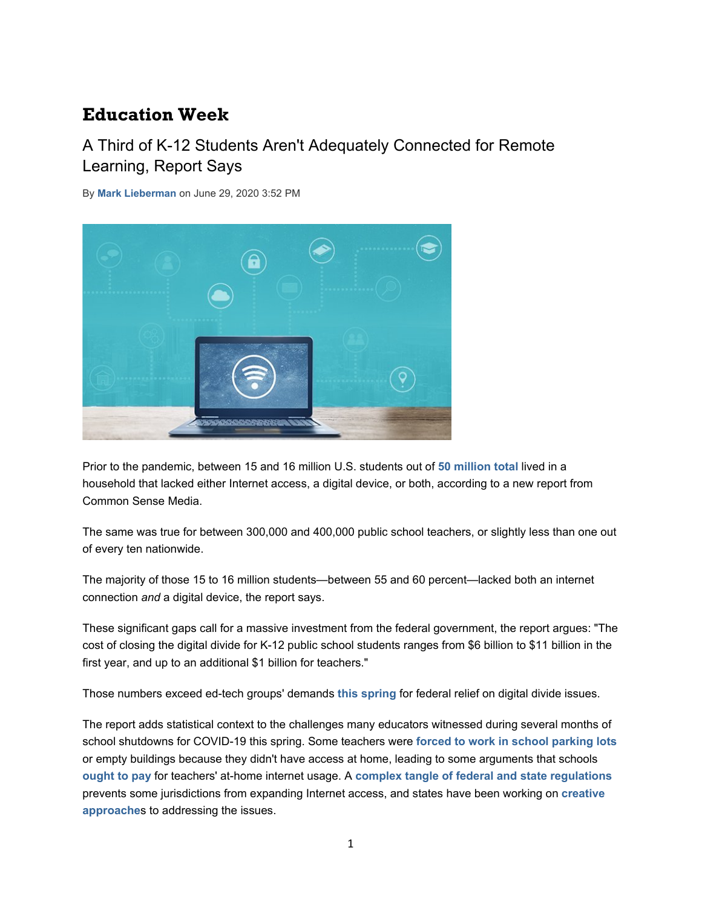# **Education Week**

## A Third of K-12 Students Aren't Adequately Connected for Remote Learning, Report Says

By **Mark Lieberman** on June 29, 2020 3:52 PM



Prior to the pandemic, between 15 and 16 million U.S. students out of **50 million total** lived in a household that lacked either Internet access, a digital device, or both, according to a new report from Common Sense Media.

The same was true for between 300,000 and 400,000 public school teachers, or slightly less than one out of every ten nationwide.

The majority of those 15 to 16 million students—between 55 and 60 percent—lacked both an internet connection *and* a digital device, the report says.

These significant gaps call for a massive investment from the federal government, the report argues: "The cost of closing the digital divide for K-12 public school students ranges from \$6 billion to \$11 billion in the first year, and up to an additional \$1 billion for teachers."

Those numbers exceed ed-tech groups' demands **this spring** for federal relief on digital divide issues.

The report adds statistical context to the challenges many educators witnessed during several months of school shutdowns for COVID-19 this spring. Some teachers were **forced to work in school parking lots** or empty buildings because they didn't have access at home, leading to some arguments that schools **ought to pay** for teachers' at-home internet usage. A **complex tangle of federal and state regulations** prevents some jurisdictions from expanding Internet access, and states have been working on **creative approache**s to addressing the issues.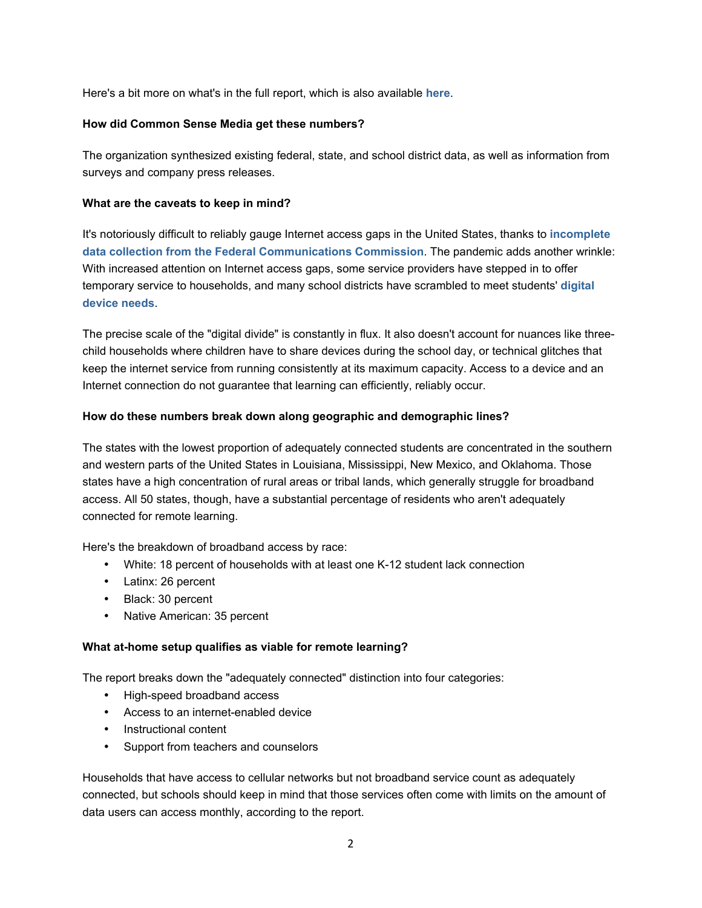Here's a bit more on what's in the full report, which is also available **here**.

#### **How did Common Sense Media get these numbers?**

The organization synthesized existing federal, state, and school district data, as well as information from surveys and company press releases.

#### **What are the caveats to keep in mind?**

It's notoriously difficult to reliably gauge Internet access gaps in the United States, thanks to **incomplete data collection from the Federal Communications Commission**. The pandemic adds another wrinkle: With increased attention on Internet access gaps, some service providers have stepped in to offer temporary service to households, and many school districts have scrambled to meet students' **digital device needs**.

The precise scale of the "digital divide" is constantly in flux. It also doesn't account for nuances like threechild households where children have to share devices during the school day, or technical glitches that keep the internet service from running consistently at its maximum capacity. Access to a device and an Internet connection do not guarantee that learning can efficiently, reliably occur.

#### **How do these numbers break down along geographic and demographic lines?**

The states with the lowest proportion of adequately connected students are concentrated in the southern and western parts of the United States in Louisiana, Mississippi, New Mexico, and Oklahoma. Those states have a high concentration of rural areas or tribal lands, which generally struggle for broadband access. All 50 states, though, have a substantial percentage of residents who aren't adequately connected for remote learning.

Here's the breakdown of broadband access by race:

- White: 18 percent of households with at least one K-12 student lack connection
- Latinx: 26 percent
- Black: 30 percent
- Native American: 35 percent

### **What at-home setup qualifies as viable for remote learning?**

The report breaks down the "adequately connected" distinction into four categories:

- High-speed broadband access
- Access to an internet-enabled device
- Instructional content
- Support from teachers and counselors

Households that have access to cellular networks but not broadband service count as adequately connected, but schools should keep in mind that those services often come with limits on the amount of data users can access monthly, according to the report.